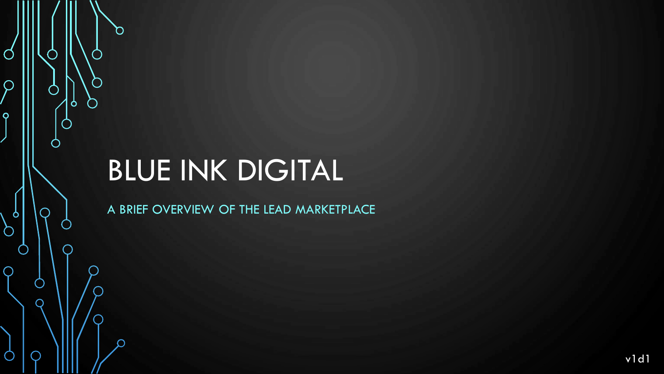# BLUE INK DIGITAL

n

 $\mathbf{\hat{o}}$ 

Ø

 $\overline{\mathcal{Q}}$ 

 $\overline{O}$ 

 $\sigma$ 

Ò

 $\overline{O}$ 

 $\bigcirc$ 

 $\cap$ 

A BRIEF OVERVIEW OF THE LEAD MARKETPLACE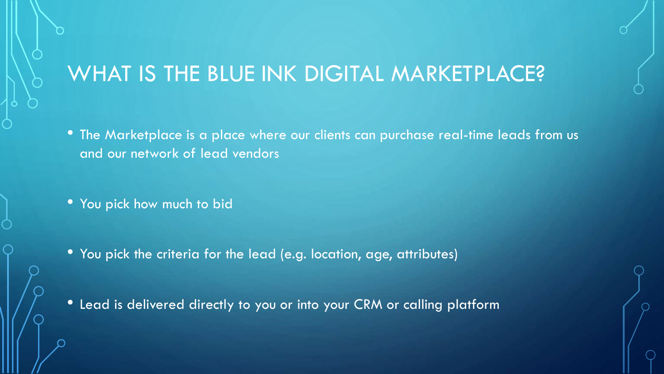### WHAT IS THE BLUE INK DIGITAL MARKETPLACE?

- The Marketplace is a place where our clients can purchase real-time leads from us and our network of lead vendors
- You pick how much to bid
- You pick the criteria for the lead (e.g. location, age, attributes)

• Lead is delivered directly to you or into your CRM or calling platform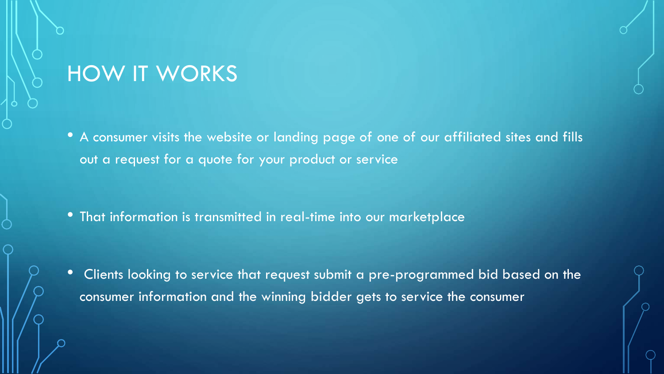#### HOW IT WORKS

• A consumer visits the website or landing page of one of our affiliated sites and fills out a request for a quote for your product or service

• That information is transmitted in real-time into our marketplace

• Clients looking to service that request submit a pre-programmed bid based on the consumer information and the winning bidder gets to service the consumer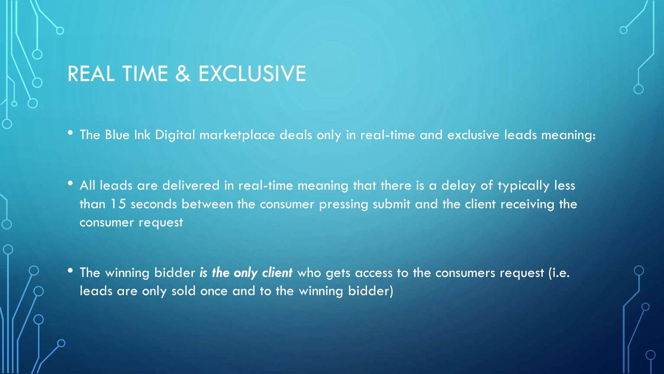#### REAL TIME & EXCLUSIVE

• The Blue Ink Digital marketplace deals only in real-time and exclusive leads meaning:

• All leads are delivered in real-time meaning that there is a delay of typically less than 15 seconds between the consumer pressing submit and the client receiving the consumer request

• The winning bidder *is the only client* who gets access to the consumers request (i.e. leads are only sold once and to the winning bidder)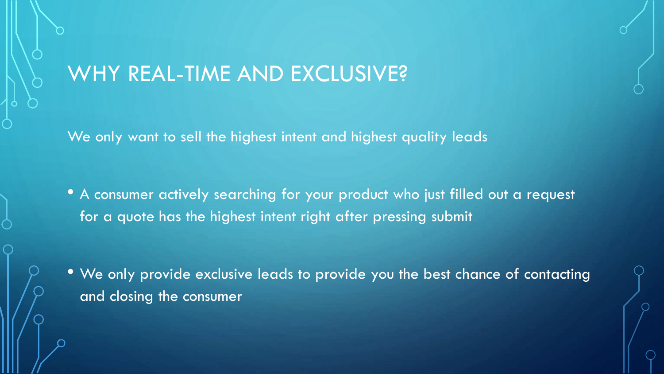#### WHY REAL-TIME AND EXCLUSIVE?

We only want to sell the highest intent and highest quality leads

• A consumer actively searching for your product who just filled out a request for a quote has the highest intent right after pressing submit

• We only provide exclusive leads to provide you the best chance of contacting and closing the consumer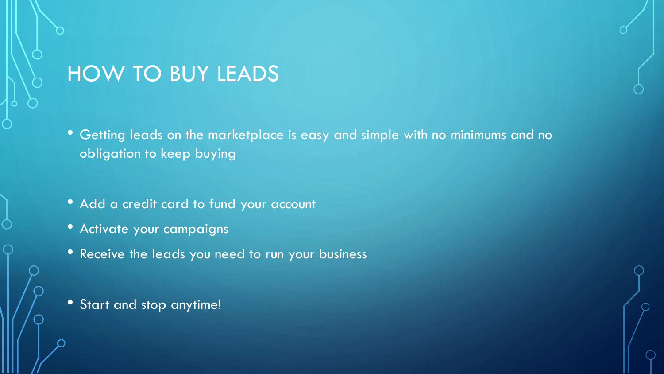## HOW TO BUY LEADS

- Getting leads on the marketplace is easy and simple with no minimums and no obligation to keep buying
- Add a credit card to fund your account
- Activate your campaigns
- Receive the leads you need to run your business
- Start and stop anytime!